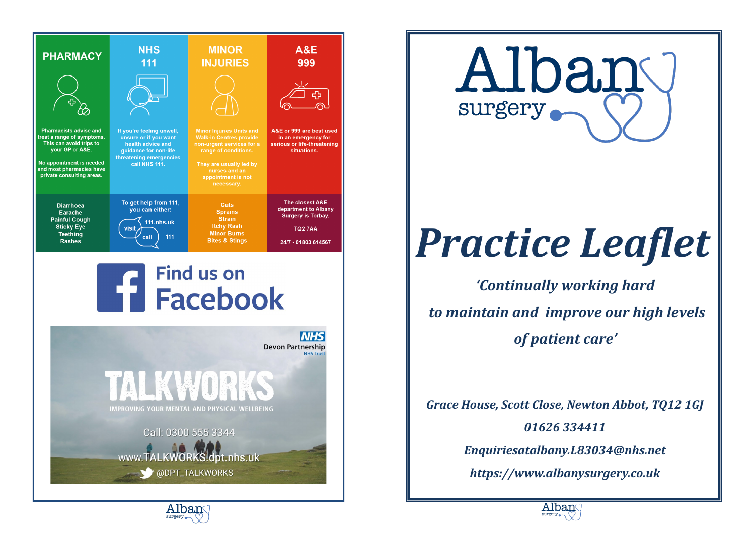





Alban surgery

# *Practice Leaflet*

*'Continually working hard to maintain and improve our high levels of patient care'*

*Grace House, Scott Close, Newton Abbot, TQ12 1GJ 01626 334411 Enquiriesatalbany.L83034@nhs.net https://www.albanysurgery.co.uk*



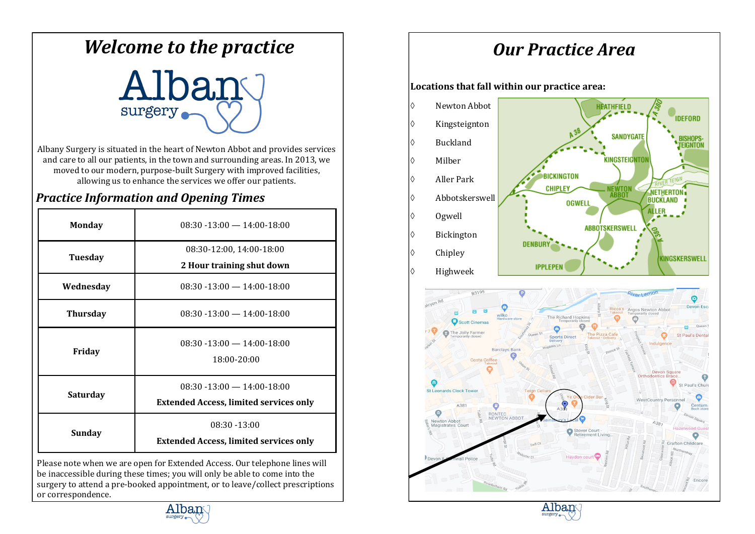# *Welcome to the practice*

# Alban surgery

Albany Surgery is situated in the heart of Newton Abbot and provides services and care to all our patients, in the town and surrounding areas. In 2013, we moved to our modern, purpose-built Surgery with improved facilities, allowing us to enhance the services we offer our patients.

#### *Practice Information and Opening Times*

| <b>Monday</b>                                                              | $08:30 - 13:00 - 14:00 - 18:00$                                                  |  |  |
|----------------------------------------------------------------------------|----------------------------------------------------------------------------------|--|--|
| Tuesday                                                                    | 08:30-12:00, 14:00-18:00<br>2 Hour training shut down                            |  |  |
| Wednesday                                                                  | $08:30 - 13:00 - 14:00 - 18:00$                                                  |  |  |
| <b>Thursday</b>                                                            | $08:30 - 13:00 - 14:00 - 18:00$                                                  |  |  |
| Friday                                                                     | $08:30 - 13:00 - 14:00 - 18:00$<br>18:00-20:00                                   |  |  |
| Saturday                                                                   | $08:30 - 13:00 - 14:00 - 18:00$<br><b>Extended Access, limited services only</b> |  |  |
| Sunday                                                                     | $08:30 - 13:00$<br><b>Extended Access, limited services only</b>                 |  |  |
| Please note when we are open for Extended Access. Our telephone lines will |                                                                                  |  |  |

Please note when we are open for Extended Access. Our telephone lines will be inaccessible during these times; you will only be able to come into the surgery to attend a pre-booked appointment, or to leave/collect prescriptions or correspondence.

# *Our Practice Area*

**Locations that fall within our practice area:**





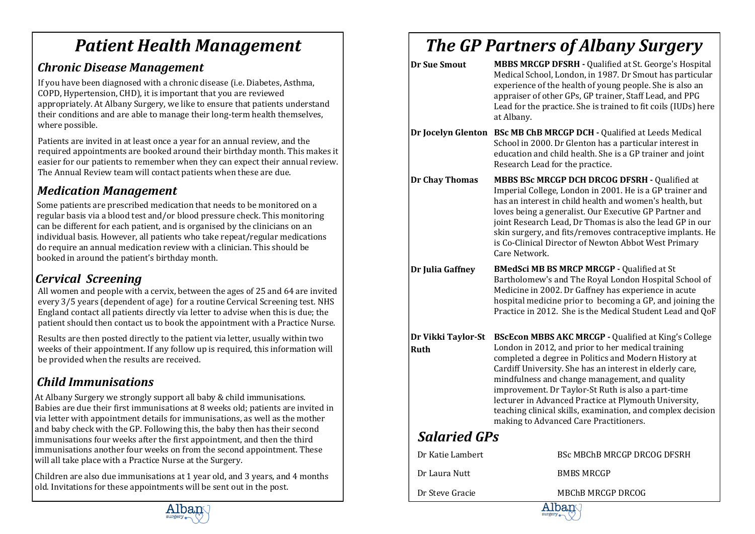# *Patient Health Management*

### *Chronic Disease Management*

If you have been diagnosed with a chronic disease (i.e. Diabetes, Asthma, COPD, Hypertension, CHD), it is important that you are reviewed appropriately. At Albany Surgery, we like to ensure that patients understand their conditions and are able to manage their long-term health themselves, where possible.

Patients are invited in at least once a year for an annual review, and the required appointments are booked around their birthday month. This makes it easier for our patients to remember when they can expect their annual review. The Annual Review team will contact patients when these are due.

### *Medication Management*

Some patients are prescribed medication that needs to be monitored on a regular basis via a blood test and/or blood pressure check. This monitoring can be different for each patient, and is organised by the clinicians on an individual basis. However, all patients who take repeat/regular medications do require an annual medication review with a clinician. This should be booked in around the patient's birthday month.

### *Cervical Screening*

All women and people with a cervix, between the ages of 25 and 64 are invited every 3/5 years (dependent of age) for a routine Cervical Screening test. NHS England contact all patients directly via letter to advise when this is due; the patient should then contact us to book the appointment with a Practice Nurse.

Results are then posted directly to the patient via letter, usually within two weeks of their appointment. If any follow up is required, this information will be provided when the results are received.

### *Child Immunisations*

At Albany Surgery we strongly support all baby & child immunisations. Babies are due their first immunisations at 8 weeks old; patients are invited in via letter with appointment details for immunisations, as well as the mother and baby check with the GP. Following this, the baby then has their second immunisations four weeks after the first appointment, and then the third immunisations another four weeks on from the second appointment. These will all take place with a Practice Nurse at the Surgery.

Children are also due immunisations at 1 year old, and 3 years, and 4 months old. Invitations for these appointments will be sent out in the post.



| <b>Dr Sue Smout</b>               | MBBS MRCGP DFSRH - Qualified at St. George's Hospital<br>Medical School, London, in 1987. Dr Smout has particular<br>experience of the health of young people. She is also an<br>appraiser of other GPs, GP trainer, Staff Lead, and PPG<br>Lead for the practice. She is trained to fit coils (IUDs) here<br>at Albany.                                                                                                                                                                                |  |  |  |
|-----------------------------------|---------------------------------------------------------------------------------------------------------------------------------------------------------------------------------------------------------------------------------------------------------------------------------------------------------------------------------------------------------------------------------------------------------------------------------------------------------------------------------------------------------|--|--|--|
|                                   | Dr Jocelyn Glenton BSc MB ChB MRCGP DCH - Qualified at Leeds Medical<br>School in 2000. Dr Glenton has a particular interest in<br>education and child health. She is a GP trainer and joint<br>Research Lead for the practice.                                                                                                                                                                                                                                                                         |  |  |  |
| <b>Dr Chay Thomas</b>             | MBBS BSc MRCGP DCH DRCOG DFSRH - Qualified at<br>Imperial College, London in 2001. He is a GP trainer and<br>has an interest in child health and women's health, but<br>loves being a generalist. Our Executive GP Partner and<br>joint Research Lead, Dr Thomas is also the lead GP in our<br>skin surgery, and fits/removes contraceptive implants. He<br>is Co-Clinical Director of Newton Abbot West Primary<br>Care Network.                                                                       |  |  |  |
| Dr Julia Gaffney                  | <b>BMedSci MB BS MRCP MRCGP - Qualified at St</b><br>Bartholomew's and The Royal London Hospital School of<br>Medicine in 2002. Dr Gaffney has experience in acute<br>hospital medicine prior to becoming a GP, and joining the<br>Practice in 2012. She is the Medical Student Lead and QoF                                                                                                                                                                                                            |  |  |  |
| Dr Vikki Taylor-St<br><b>Ruth</b> | BScEcon MBBS AKC MRCGP - Qualified at King's College<br>London in 2012, and prior to her medical training<br>completed a degree in Politics and Modern History at<br>Cardiff University. She has an interest in elderly care,<br>mindfulness and change management, and quality<br>improvement. Dr Taylor-St Ruth is also a part-time<br>lecturer in Advanced Practice at Plymouth University,<br>teaching clinical skills, examination, and complex decision<br>making to Advanced Care Practitioners. |  |  |  |
| <b>Salaried GPs</b>               |                                                                                                                                                                                                                                                                                                                                                                                                                                                                                                         |  |  |  |
| Dr Katie Lambert                  | BSc MBChB MRCGP DRCOG DFSRH                                                                                                                                                                                                                                                                                                                                                                                                                                                                             |  |  |  |
| Dr Laura Nutt                     | <b>BMBS MRCGP</b>                                                                                                                                                                                                                                                                                                                                                                                                                                                                                       |  |  |  |
| Dr Steve Gracie                   | <b>MBChB MRCGP DRCOG</b><br>Alban                                                                                                                                                                                                                                                                                                                                                                                                                                                                       |  |  |  |

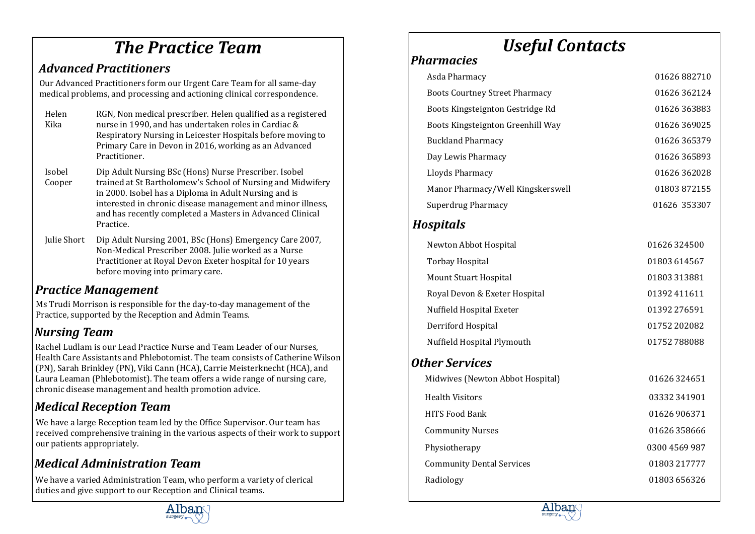# *The Practice Team*

### *Advanced Practitioners*

Our Advanced Practitioners form our Urgent Care Team for all same-day medical problems, and processing and actioning clinical correspondence.

| Helen                                                       | RGN, Non medical prescriber. Helen qualified as a registered |  |
|-------------------------------------------------------------|--------------------------------------------------------------|--|
| Kika                                                        | nurse in 1990, and has undertaken roles in Cardiac &         |  |
| Respiratory Nursing in Leicester Hospitals before moving to |                                                              |  |
|                                                             | Primary Care in Devon in 2016, working as an Advanced        |  |
|                                                             | Practitioner.                                                |  |
|                                                             |                                                              |  |

| Dip Adult Nursing BSc (Hons) Nurse Prescriber. Isobel       |
|-------------------------------------------------------------|
| trained at St Bartholomew's School of Nursing and Midwifery |
| in 2000. Isobel has a Diploma in Adult Nursing and is       |
| interested in chronic disease management and minor illness, |
| and has recently completed a Masters in Advanced Clinical   |
| Practice.                                                   |
|                                                             |

```
Julie Short Dip Adult Nursing 2001, BSc (Hons) Emergency Care 2007, 
 Non-Medical Prescriber 2008. Julie worked as a Nurse 
 Practitioner at Royal Devon Exeter hospital for 10 years 
 before moving into primary care.
```
### *Practice Management*

Ms Trudi Morrison is responsible for the day-to-day management of the Practice, supported by the Reception and Admin Teams.

### *Nursing Team*

Rachel Ludlam is our Lead Practice Nurse and Team Leader of our Nurses, Health Care Assistants and Phlebotomist. The team consists of Catherine Wilson (PN), Sarah Brinkley (PN), Viki Cann (HCA), Carrie Meisterknecht (HCA), and Laura Leaman (Phlebotomist). The team offers a wide range of nursing care, chronic disease management and health promotion advice.

### *Medical Reception Team*

We have a large Reception team led by the Office Supervisor. Our team has received comprehensive training in the various aspects of their work to support our patients appropriately.

### *Medical Administration Team*

We have a varied Administration Team, who perform a variety of clerical duties and give support to our Reception and Clinical teams.



# *Useful Contacts*

# *Pharmacies*

| Asda Pharmacy                         | 01626 882710 |
|---------------------------------------|--------------|
| <b>Boots Courtney Street Pharmacy</b> | 01626362124  |
| Boots Kingsteignton Gestridge Rd      | 01626363883  |
| Boots Kingsteignton Greenhill Way     | 01626 369025 |
| <b>Buckland Pharmacy</b>              | 01626365379  |
| Day Lewis Pharmacy                    | 01626365893  |
| Lloyds Pharmacy                       | 01626362028  |
| Manor Pharmacy/Well Kingskerswell     | 01803872155  |
| Superdrug Pharmacy                    | 01626 353307 |
|                                       |              |

### *Hospitals*

| Newton Abbot Hospital         | 01626324500  |
|-------------------------------|--------------|
| Torbay Hospital               | 01803 614567 |
| Mount Stuart Hospital         | 01803313881  |
| Royal Devon & Exeter Hospital | 01392411611  |
| Nuffield Hospital Exeter      | 01392 276591 |
| Derriford Hospital            | 01752 202082 |
| Nuffield Hospital Plymouth    | 01752788088  |
|                               |              |

### *Other Services*

| 01626324651   |
|---------------|
| 03332341901   |
| 01626 906371  |
| 01626358666   |
| 0300 4569 987 |
| 01803 217777  |
| 01803 656326  |
|               |

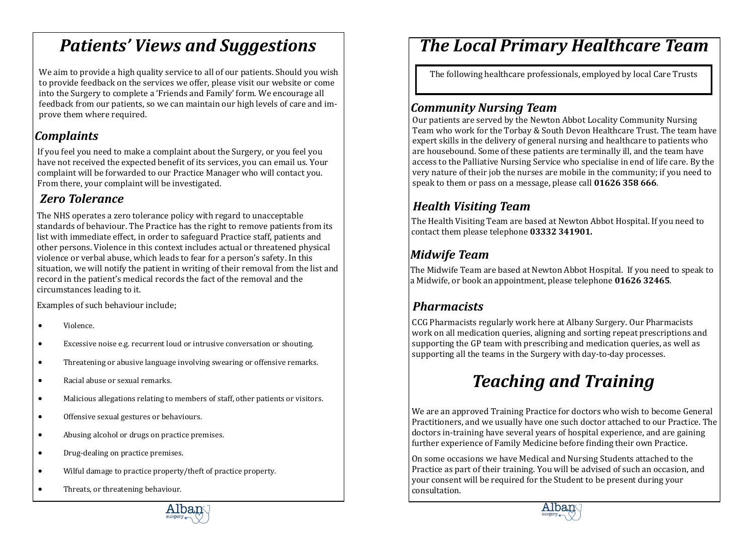# *Patients' Views and Suggestions*

We aim to provide a high quality service to all of our patients. Should you wish to provide feedback on the services we offer, please visit our website or come into the Surgery to complete a 'Friends and Family' form. We encourage all feedback from our patients, so we can maintain our high levels of care and improve them where required.

### *Complaints*

If you feel you need to make a complaint about the Surgery, or you feel you have not received the expected benefit of its services, you can email us. Your complaint will be forwarded to our Practice Manager who will contact you. From there, your complaint will be investigated.

### *Zero Tolerance*

The NHS operates a zero tolerance policy with regard to unacceptable standards of behaviour. The Practice has the right to remove patients from its list with immediate effect, in order to safeguard Practice staff, patients and other persons. Violence in this context includes actual or threatened physical violence or verbal abuse, which leads to fear for a person's safety. In this situation, we will notify the patient in writing of their removal from the list and record in the patient's medical records the fact of the removal and the circumstances leading to it.

Examples of such behaviour include;

- Violence.
- Excessive noise e.g. recurrent loud or intrusive conversation or shouting.
- Threatening or abusive language involving swearing or offensive remarks.
- Racial abuse or sexual remarks.
- Malicious allegations relating to members of staff, other patients or visitors.
- Offensive sexual gestures or behaviours.
- Abusing alcohol or drugs on practice premises.
- Drug-dealing on practice premises.
- Wilful damage to practice property/theft of practice property.
- Threats, or threatening behaviour.

# *The Local Primary Healthcare Team*

The following healthcare professionals, employed by local Care Trusts

### *Community Nursing Team*

Our patients are served by the Newton Abbot Locality Community Nursing Team who work for the Torbay & South Devon Healthcare Trust. The team have expert skills in the delivery of general nursing and healthcare to patients who are housebound. Some of these patients are terminally ill, and the team have access to the Palliative Nursing Service who specialise in end of life care. By the very nature of their job the nurses are mobile in the community; if you need to speak to them or pass on a message, please call **01626 358 666**.

### *Health Visiting Team*

The Health Visiting Team are based at Newton Abbot Hospital. If you need to contact them please telephone **03332 341901.** 

### *Midwife Team*

The Midwife Team are based at Newton Abbot Hospital. If you need to speak to a Midwife, or book an appointment, please telephone **01626 32465**.

### *Pharmacists*

CCG Pharmacists regularly work here at Albany Surgery. Our Pharmacists work on all medication queries, aligning and sorting repeat prescriptions and supporting the GP team with prescribing and medication queries, as well as supporting all the teams in the Surgery with day-to-day processes.

# *Teaching and Training*

We are an approved Training Practice for doctors who wish to become General Practitioners, and we usually have one such doctor attached to our Practice. The doctors in-training have several years of hospital experience, and are gaining further experience of Family Medicine before finding their own Practice.

On some occasions we have Medical and Nursing Students attached to the Practice as part of their training. You will be advised of such an occasion, and your consent will be required for the Student to be present during your consultation.



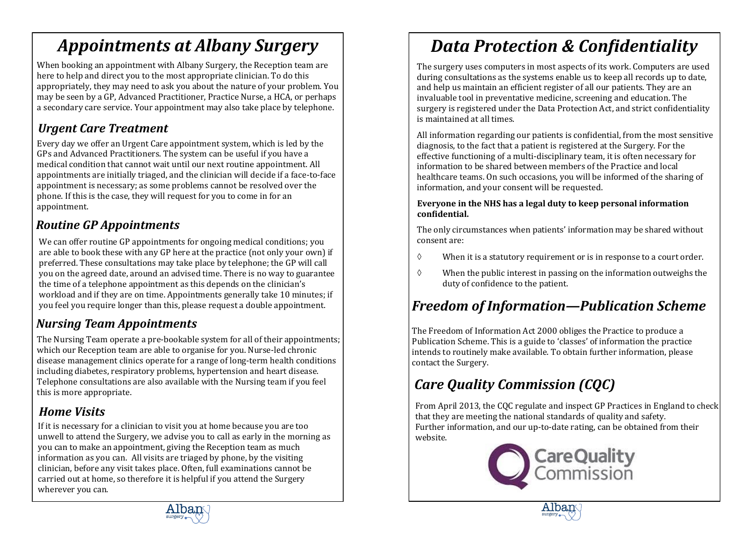# *Appointments at Albany Surgery*

When booking an appointment with Albany Surgery, the Reception team are here to help and direct you to the most appropriate clinician. To do this appropriately, they may need to ask you about the nature of your problem. You may be seen by a GP, Advanced Practitioner, Practice Nurse, a HCA, or perhaps a secondary care service. Your appointment may also take place by telephone.

### *Urgent Care Treatment*

Every day we offer an Urgent Care appointment system, which is led by the GPs and Advanced Practitioners. The system can be useful if you have a medical condition that cannot wait until our next routine appointment. All appointments are initially triaged, and the clinician will decide if a face-to-face appointment is necessary; as some problems cannot be resolved over the phone. If this is the case, they will request for you to come in for an appointment.

### *Routine GP Appointments*

We can offer routine GP appointments for ongoing medical conditions; you are able to book these with any GP here at the practice (not only your own) if preferred. These consultations may take place by telephone; the GP will call you on the agreed date, around an advised time. There is no way to guarantee the time of a telephone appointment as this depends on the clinician's workload and if they are on time. Appointments generally take 10 minutes; if you feel you require longer than this, please request a double appointment.

### *Nursing Team Appointments*

The Nursing Team operate a pre-bookable system for all of their appointments; which our Reception team are able to organise for you. Nurse-led chronic disease management clinics operate for a range of long-term health conditions including diabetes, respiratory problems, hypertension and heart disease. Telephone consultations are also available with the Nursing team if you feel this is more appropriate.

### *Home Visits*

If it is necessary for a clinician to visit you at home because you are too unwell to attend the Surgery, we advise you to call as early in the morning as you can to make an appointment, giving the Reception team as much information as you can. All visits are triaged by phone, by the visiting clinician, before any visit takes place. Often, full examinations cannot be carried out at home, so therefore it is helpful if you attend the Surgery wherever you can.

# *Data Protection & Confidentiality*

The surgery uses computers in most aspects of its work. Computers are used during consultations as the systems enable us to keep all records up to date, and help us maintain an efficient register of all our patients. They are an invaluable tool in preventative medicine, screening and education. The surgery is registered under the Data Protection Act, and strict confidentiality is maintained at all times.

All information regarding our patients is confidential, from the most sensitive diagnosis, to the fact that a patient is registered at the Surgery. For the effective functioning of a multi-disciplinary team, it is often necessary for information to be shared between members of the Practice and local healthcare teams. On such occasions, you will be informed of the sharing of information, and your consent will be requested.

#### **Everyone in the NHS has a legal duty to keep personal information confidential.**

The only circumstances when patients' information may be shared without consent are:

- $\Diamond$  When it is a statutory requirement or is in response to a court order.
- $\Diamond$  When the public interest in passing on the information outweighs the duty of confidence to the patient.

### *Freedom of Information—Publication Scheme*

The Freedom of Information Act 2000 obliges the Practice to produce a Publication Scheme. This is a guide to 'classes' of information the practice intends to routinely make available. To obtain further information, please contact the Surgery.

## *Care Quality Commission (CQC)*

From April 2013, the CQC regulate and inspect GP Practices in England to check that they are meeting the national standards of quality and safety. Further information, and our up-to-date rating, can be obtained from their website.





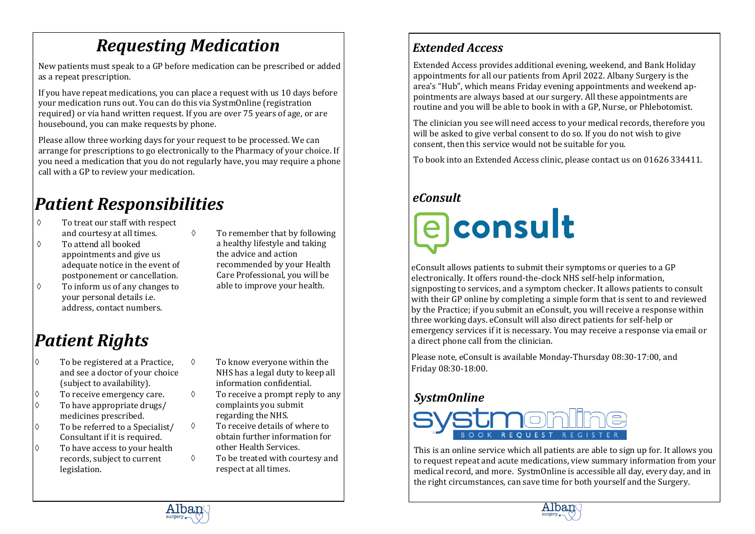# *Requesting Medication*

New patients must speak to a GP before medication can be prescribed or added as a repeat prescription.

If you have repeat medications, you can place a request with us 10 days before your medication runs out. You can do this via SystmOnline (registration required) or via hand written request. If you are over 75 years of age, or are housebound, you can make requests by phone.

Please allow three working days for your request to be processed. We can arrange for prescriptions to go electronically to the Pharmacy of your choice. If you need a medication that you do not regularly have, you may require a phone call with a GP to review your medication.

# *Patient Responsibilities*

- To treat our staff with respect and courtesy at all times.
- To attend all booked appointments and give us adequate notice in the event of postponement or cancellation.
- $\Diamond$  To inform us of any changes to your personal details i.e. address, contact numbers.
- $\Diamond$  To remember that by following a healthy lifestyle and taking the advice and action recommended by your Health Care Professional, you will be able to improve your health.

# *Patient Rights*

- $\Diamond$  To be registered at a Practice. and see a doctor of your choice (subject to availability).
- To receive emergency care.
- $\Diamond$  To have appropriate drugs/ medicines prescribed.
- $\Diamond$  To be referred to a Specialist/ Consultant if it is required.
- $\Diamond$  To have access to your health records, subject to current legislation.
- $\Diamond$  To know everyone within the NHS has a legal duty to keep all information confidential.
- $\Diamond$  To receive a prompt reply to any complaints you submit regarding the NHS.
- $\Diamond$  To receive details of where to obtain further information for other Health Services.
- To be treated with courtesy and respect at all times.

### *Extended Access*

Extended Access provides additional evening, weekend, and Bank Holiday appointments for all our patients from April 2022. Albany Surgery is the area's "Hub", which means Friday evening appointments and weekend appointments are always based at our surgery. All these appointments are routine and you will be able to book in with a GP, Nurse, or Phlebotomist.

The clinician you see will need access to your medical records, therefore you will be asked to give verbal consent to do so. If you do not wish to give consent, then this service would not be suitable for you.

To book into an Extended Access clinic, please contact us on 01626 334411.

### *eConsult*

**a** consult

eConsult allows patients to submit their symptoms or queries to a GP electronically. It offers round-the-clock NHS self-help information, signposting to services, and a symptom checker. It allows patients to consult with their GP online by completing a simple form that is sent to and reviewed by the Practice; if you submit an eConsult, you will receive a response within three working days. eConsult will also direct patients for self-help or emergency services if it is necessary. You may receive a response via email or a direct phone call from the clinician.

Please note, eConsult is available Monday-Thursday 08:30-17:00, and Friday 08:30-18:00.

#### *SystmOnline*



This is an online service which all patients are able to sign up for. It allows you to request repeat and acute medications, view summary information from your medical record, and more. SystmOnline is accessible all day, every day, and in the right circumstances, can save time for both yourself and the Surgery.